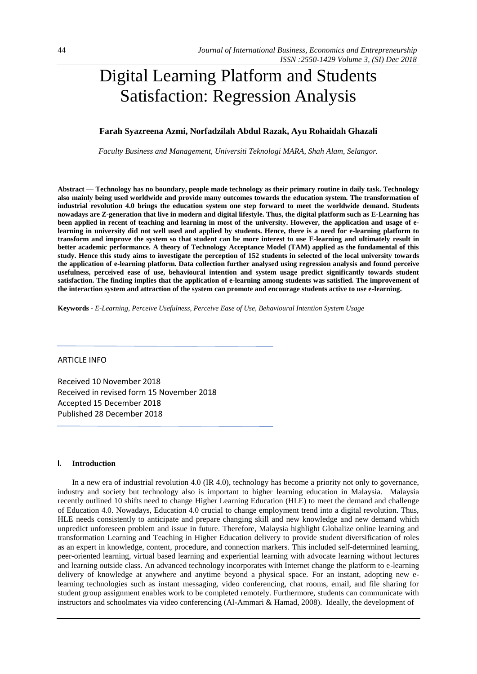# Digital Learning Platform and Students Satisfaction: Regression Analysis

# **Farah Syazreena Azmi, Norfadzilah Abdul Razak, Ayu Rohaidah Ghazali**

*Faculty Business and Management, Universiti Teknologi MARA, Shah Alam, Selangor.*

**Abstract — Technology has no boundary, people made technology as their primary routine in daily task. Technology also mainly being used worldwide and provide many outcomes towards the education system. The transformation of industrial revolution 4.0 brings the education system one step forward to meet the worldwide demand. Students nowadays are Z-generation that live in modern and digital lifestyle. Thus, the digital platform such as E-Learning has been applied in recent of teaching and learning in most of the university. However, the application and usage of elearning in university did not well used and applied by students. Hence, there is a need for e-learning platform to transform and improve the system so that student can be more interest to use E-learning and ultimately result in better academic performance. A theory of Technology Acceptance Model (TAM) applied as the fundamental of this study. Hence this study aims to investigate the perception of 152 students in selected of the local university towards the application of e-learning platform. Data collection further analysed using regression analysis and found perceive usefulness, perceived ease of use, behavioural intention and system usage predict significantly towards student satisfaction. The finding implies that the application of e-learning among students was satisfied. The improvement of the interaction system and attraction of the system can promote and encourage students active to use e-learning.** 

**Keywords -** *E-Learning, Perceive Usefulness, Perceive Ease of Use, Behavioural Intention System Usage*

# ARTICLE INFO

Received 10 November 2018 Received in revised form 15 November 2018 Accepted 15 December 2018 Published 28 December 2018

#### **I. Introduction**

In a new era of industrial revolution 4.0 (IR 4.0), technology has become a priority not only to governance, industry and society but technology also is important to higher learning education in Malaysia. Malaysia recently outlined 10 shifts need to change Higher Learning Education (HLE) to meet the demand and challenge of Education 4.0. Nowadays, Education 4.0 crucial to change employment trend into a digital revolution. Thus, HLE needs consistently to anticipate and prepare changing skill and new knowledge and new demand which unpredict unforeseen problem and issue in future. Therefore, Malaysia highlight Globalize online learning and transformation Learning and Teaching in Higher Education delivery to provide student diversification of roles as an expert in knowledge, content, procedure, and connection markers. This included self-determined learning, peer-oriented learning, virtual based learning and experiential learning with advocate learning without lectures and learning outside class. An advanced technology incorporates with Internet change the platform to e-learning delivery of knowledge at anywhere and anytime beyond a physical space. For an instant, adopting new elearning technologies such as instant messaging, video conferencing, chat rooms, email, and file sharing for student group assignment enables work to be completed remotely. Furthermore, students can communicate with instructors and schoolmates via video conferencing (Al-Ammari & Hamad, 2008). Ideally, the development of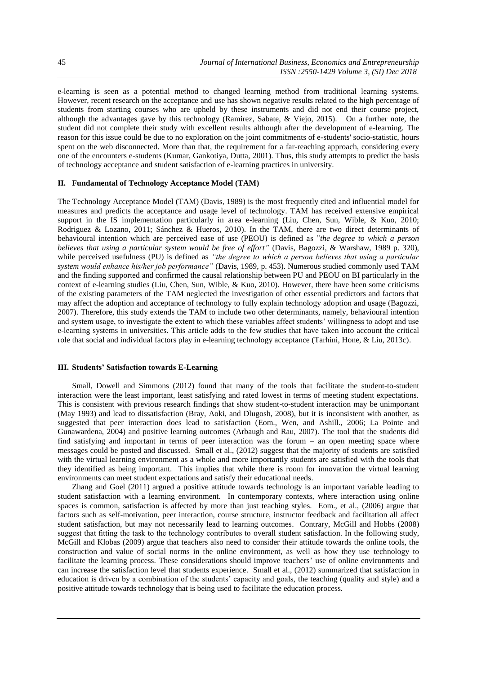e-learning is seen as a potential method to changed learning method from traditional learning systems. However, recent research on the acceptance and use has shown negative results related to the high percentage of students from starting courses who are upheld by these instruments and did not end their course project, although the advantages gave by this technology (Ramirez, Sabate, & Viejo, 2015). On a further note, the student did not complete their study with excellent results although after the development of e-learning. The reason for this issue could be due to no exploration on the joint commitments of e-students' socio-statistic, hours spent on the web disconnected. More than that, the requirement for a far-reaching approach, considering every one of the encounters e-students (Kumar, Gankotiya, Dutta, 2001). Thus, this study attempts to predict the basis of technology acceptance and student satisfaction of e-learning practices in university.

# **II. Fundamental of Technology Acceptance Model (TAM)**

The Technology Acceptance Model (TAM) (Davis, 1989) is the most frequently cited and influential model for measures and predicts the acceptance and usage level of technology. TAM has received extensive empirical support in the IS implementation particularly in area e-learning (Liu, Chen, Sun, Wible, & Kuo, 2010; Rodriguez & Lozano, 2011; Sánchez & Hueros, 2010). In the TAM, there are two direct determinants of behavioural intention which are perceived ease of use (PEOU) is defined as "*the degree to which a person believes that using a particular system would be free of effort"* (Davis, Bagozzi, & Warshaw, 1989 p. 320), while perceived usefulness (PU) is defined as *"the degree to which a person believes that using a particular system would enhance his/her job performance"* (Davis, 1989, p. 453). Numerous studied commonly used TAM and the finding supported and confirmed the causal relationship between PU and PEOU on BI particularly in the context of e-learning studies (Liu, Chen, Sun, Wible, & Kuo, 2010). However, there have been some criticisms of the existing parameters of the TAM neglected the investigation of other essential predictors and factors that may affect the adoption and acceptance of technology to fully explain technology adoption and usage (Bagozzi, 2007). Therefore, this study extends the TAM to include two other determinants, namely, behavioural intention and system usage, to investigate the extent to which these variables affect students' willingness to adopt and use e-learning systems in universities. This article adds to the few studies that have taken into account the critical role that social and individual factors play in e-learning technology acceptance (Tarhini, Hone, & Liu, 2013c).

#### **III. Students' Satisfaction towards E-Learning**

Small, Dowell and Simmons (2012) found that many of the tools that facilitate the student-to-student interaction were the least important, least satisfying and rated lowest in terms of meeting student expectations. This is consistent with previous research findings that show student-to-student interaction may be unimportant (May 1993) and lead to dissatisfaction (Bray, Aoki, and Dlugosh, 2008), but it is inconsistent with another, as suggested that peer interaction does lead to satisfaction (Eom., Wen, and Ashill., 2006; La Pointe and Gunawardena, 2004) and positive learning outcomes (Arbaugh and Rau, 2007). The tool that the students did find satisfying and important in terms of peer interaction was the forum – an open meeting space where messages could be posted and discussed. Small et al., (2012) suggest that the majority of students are satisfied with the virtual learning environment as a whole and more importantly students are satisfied with the tools that they identified as being important. This implies that while there is room for innovation the virtual learning environments can meet student expectations and satisfy their educational needs.

Zhang and Goel (2011) argued a positive attitude towards technology is an important variable leading to student satisfaction with a learning environment. In contemporary contexts, where interaction using online spaces is common, satisfaction is affected by more than just teaching styles. Eom., et al., (2006) argue that factors such as self-motivation, peer interaction, course structure, instructor feedback and facilitation all affect student satisfaction, but may not necessarily lead to learning outcomes. Contrary, McGill and Hobbs (2008) suggest that fitting the task to the technology contributes to overall student satisfaction. In the following study, McGill and Klobas (2009) argue that teachers also need to consider their attitude towards the online tools, the construction and value of social norms in the online environment, as well as how they use technology to facilitate the learning process. These considerations should improve teachers' use of online environments and can increase the satisfaction level that students experience. Small et al., (2012) summarized that satisfaction in education is driven by a combination of the students' capacity and goals, the teaching (quality and style) and a positive attitude towards technology that is being used to facilitate the education process.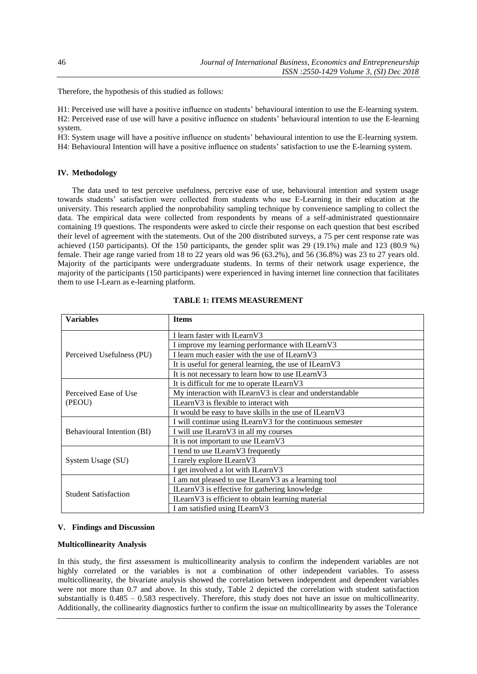Therefore, the hypothesis of this studied as follows:

H1: Perceived use will have a positive influence on students' behavioural intention to use the E-learning system. H2: Perceived ease of use will have a positive influence on students' behavioural intention to use the E-learning system.

H3: System usage will have a positive influence on students' behavioural intention to use the E-learning system. H4: Behavioural Intention will have a positive influence on students' satisfaction to use the E-learning system.

## **IV. Methodology**

The data used to test perceive usefulness, perceive ease of use, behavioural intention and system usage towards students' satisfaction were collected from students who use E-Learning in their education at the university. This research applied the nonprobability sampling technique by convenience sampling to collect the data. The empirical data were collected from respondents by means of a self-administrated questionnaire containing 19 questions. The respondents were asked to circle their response on each question that best escribed their level of agreement with the statements. Out of the 200 distributed surveys, a 75 per cent response rate was achieved (150 participants). Of the 150 participants, the gender split was 29 (19.1%) male and 123 (80.9 %) female. Their age range varied from 18 to 22 years old was 96 (63.2%), and 56 (36.8%) was 23 to 27 years old. Majority of the participants were undergraduate students. In terms of their network usage experience, the majority of the participants (150 participants) were experienced in having internet line connection that facilitates them to use I-Learn as e-learning platform.

| <b>Variables</b>                | <b>Items</b>                                               |  |  |
|---------------------------------|------------------------------------------------------------|--|--|
|                                 | I learn faster with ILearnV3                               |  |  |
| Perceived Usefulness (PU)       | I improve my learning performance with ILearnV3            |  |  |
|                                 | I learn much easier with the use of ILearnV3               |  |  |
|                                 | It is useful for general learning, the use of ILearnV3     |  |  |
|                                 | It is not necessary to learn how to use ILearnV3           |  |  |
|                                 | It is difficult for me to operate ILearnV3                 |  |  |
| Perceived Ease of Use<br>(PEOU) | My interaction with ILearnV3 is clear and understandable   |  |  |
|                                 | ILearnV3 is flexible to interact with                      |  |  |
|                                 | It would be easy to have skills in the use of ILearnV3     |  |  |
|                                 | I will continue using ILearnV3 for the continuous semester |  |  |
| Behavioural Intention (BI)      | I will use ILearnV3 in all my courses                      |  |  |
|                                 | It is not important to use ILearnV3                        |  |  |
|                                 | I tend to use ILearnV3 frequently                          |  |  |
| System Usage (SU)               | I rarely explore ILearnV3                                  |  |  |
|                                 | I get involved a lot with ILearnV3                         |  |  |
| <b>Student Satisfaction</b>     | I am not pleased to use ILearnV3 as a learning tool        |  |  |
|                                 | ILearnV3 is effective for gathering knowledge              |  |  |
|                                 | ILearnV3 is efficient to obtain learning material          |  |  |
|                                 | I am satisfied using ILearnV3                              |  |  |

#### **TABLE 1: ITEMS MEASUREMENT**

#### **V. Findings and Discussion**

#### **Multicollinearity Analysis**

In this study, the first assessment is multicollinearity analysis to confirm the independent variables are not highly correlated or the variables is not a combination of other independent variables. To assess multicollinearity, the bivariate analysis showed the correlation between independent and dependent variables were not more than 0.7 and above. In this study, Table 2 depicted the correlation with student satisfaction substantially is 0.485 – 0.583 respectively. Therefore, this study does not have an issue on multicollinearity. Additionally, the collinearity diagnostics further to confirm the issue on multicollinearity by asses the Tolerance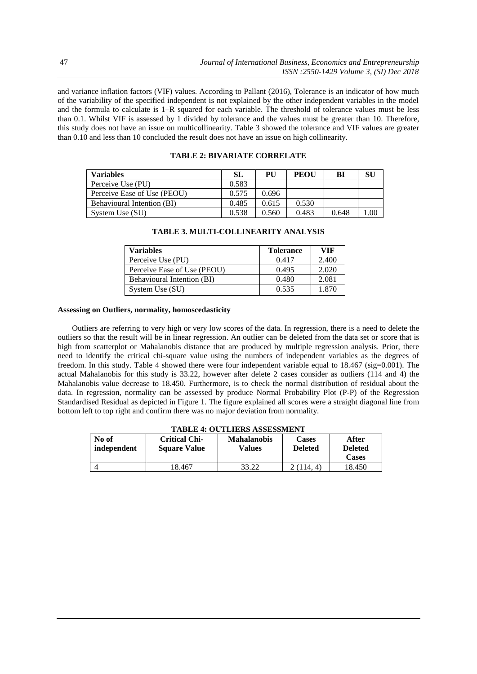and variance inflation factors (VIF) values. According to Pallant (2016), Tolerance is an indicator of how much of the variability of the specified independent is not explained by the other independent variables in the model and the formula to calculate is 1–R squared for each variable. The threshold of tolerance values must be less than 0.1. Whilst VIF is assessed by 1 divided by tolerance and the values must be greater than 10. Therefore, this study does not have an issue on multicollinearity. Table 3 showed the tolerance and VIF values are greater than 0.10 and less than 10 concluded the result does not have an issue on high collinearity.

| <b>Variables</b>            | SL    | PU    | PEOU  | BI    | SU  |
|-----------------------------|-------|-------|-------|-------|-----|
| Perceive Use (PU)           | 0.583 |       |       |       |     |
| Perceive Ease of Use (PEOU) | 0.575 | 0.696 |       |       |     |
| Behavioural Intention (BI)  | 0.485 | 0.615 | 0.530 |       |     |
| System Use (SU)             | 0.538 | 0.560 | 0.483 | 0.648 | .00 |

# **TABLE 2: BIVARIATE CORRELATE**

| Variables                         | <b>Tolerance</b> | VIF   |
|-----------------------------------|------------------|-------|
| Perceive Use (PU)                 | 0.417            | 2.400 |
| Perceive Ease of Use (PEOU)       | 0.495            | 2.020 |
| <b>Behavioural Intention (BI)</b> | 0.480            | 2.081 |
| System Use (SU)                   | 0.535            | 1.870 |

### **TABLE 3. MULTI-COLLINEARITY ANALYSIS**

## **Assessing on Outliers, normality, homoscedasticity**

Outliers are referring to very high or very low scores of the data. In regression, there is a need to delete the outliers so that the result will be in linear regression. An outlier can be deleted from the data set or score that is high from scatterplot or Mahalanobis distance that are produced by multiple regression analysis. Prior, there need to identify the critical chi-square value using the numbers of independent variables as the degrees of freedom. In this study. Table 4 showed there were four independent variable equal to 18.467 (sig=0.001). The actual Mahalanobis for this study is 33.22, however after delete 2 cases consider as outliers (114 and 4) the Mahalanobis value decrease to 18.450. Furthermore, is to check the normal distribution of residual about the data. In regression, normality can be assessed by produce Normal Probability Plot (P-P) of the Regression Standardised Residual as depicted in Figure 1. The figure explained all scores were a straight diagonal line from bottom left to top right and confirm there was no major deviation from normality.

| TABLE 4: OUTLIERS ASSESSMENT |                                             |                              |                                |                                         |  |
|------------------------------|---------------------------------------------|------------------------------|--------------------------------|-----------------------------------------|--|
| No of<br>independent         | <b>Critical Chi-</b><br><b>Square Value</b> | <b>Mahalanobis</b><br>Values | <b>Cases</b><br><b>Deleted</b> | After<br><b>Deleted</b><br><b>Cases</b> |  |
|                              |                                             |                              |                                |                                         |  |
|                              | 18.467                                      | 33.22                        | 14.                            | 18.450                                  |  |

# **TABLE 4: OUTLIERS ASSESSMENT**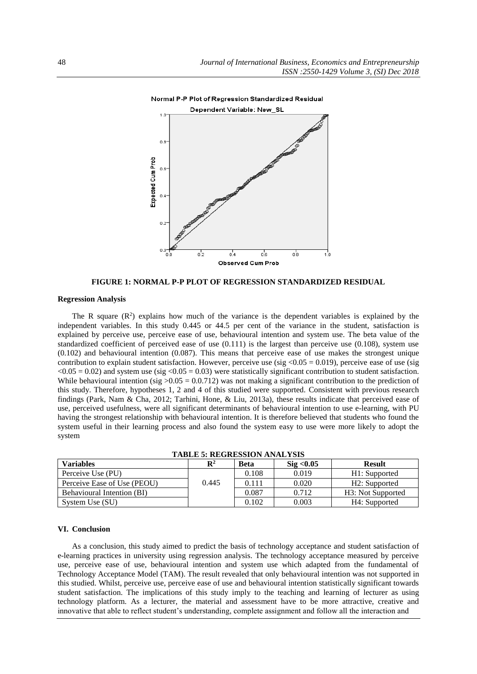

**FIGURE 1: NORMAL P-P PLOT OF REGRESSION STANDARDIZED RESIDUAL**

#### **Regression Analysis**

The R square  $(R^2)$  explains how much of the variance is the dependent variables is explained by the independent variables. In this study 0.445 or 44.5 per cent of the variance in the student, satisfaction is explained by perceive use, perceive ease of use, behavioural intention and system use. The beta value of the standardized coefficient of perceived ease of use (0.111) is the largest than perceive use (0.108), system use (0.102) and behavioural intention (0.087). This means that perceive ease of use makes the strongest unique contribution to explain student satisfaction. However, perceive use (sig < $0.05 = 0.019$ ), perceive ease of use (sig  $\langle 0.05 = 0.02 \rangle$  and system use (sig  $\langle 0.05 = 0.03 \rangle$ ) were statistically significant contribution to student satisfaction. While behavioural intention (sig  $>0.05 = 0.0.712$ ) was not making a significant contribution to the prediction of this study. Therefore, hypotheses 1, 2 and 4 of this studied were supported. Consistent with previous research findings (Park, Nam & Cha, 2012; Tarhini, Hone, & Liu, 2013a), these results indicate that perceived ease of use, perceived usefulness, were all significant determinants of behavioural intention to use e-learning, with PU having the strongest relationship with behavioural intention. It is therefore believed that students who found the system useful in their learning process and also found the system easy to use were more likely to adopt the system

| 1110 DB of Registerous mysel 1919 |                |             |                                |                                |  |
|-----------------------------------|----------------|-------------|--------------------------------|--------------------------------|--|
| <b>Variables</b>                  | $\mathbf{R}^2$ | <b>Beta</b> | $\mathrm{Si}\mathrm{g} < 0.05$ | <b>Result</b>                  |  |
| Perceive Use (PU)                 |                | 0.108       | 0.019                          | H1: Supported                  |  |
| Perceive Ease of Use (PEOU)       | 0.445          | 0.111       | 0.020                          | H <sub>2</sub> : Supported     |  |
| Behavioural Intention (BI)        |                | 0.087       | 0.712                          | H <sub>3</sub> : Not Supported |  |
| System Use (SU)                   |                | 0.102       | 0.003                          | H4: Supported                  |  |

**TABLE 5: REGRESSION ANALYSIS**

# **VI. Conclusion**

As a conclusion, this study aimed to predict the basis of technology acceptance and student satisfaction of e-learning practices in university using regression analysis. The technology acceptance measured by perceive use, perceive ease of use, behavioural intention and system use which adapted from the fundamental of Technology Acceptance Model (TAM). The result revealed that only behavioural intention was not supported in this studied. Whilst, perceive use, perceive ease of use and behavioural intention statistically significant towards student satisfaction. The implications of this study imply to the teaching and learning of lecturer as using technology platform. As a lecturer, the material and assessment have to be more attractive, creative and innovative that able to reflect student's understanding, complete assignment and follow all the interaction and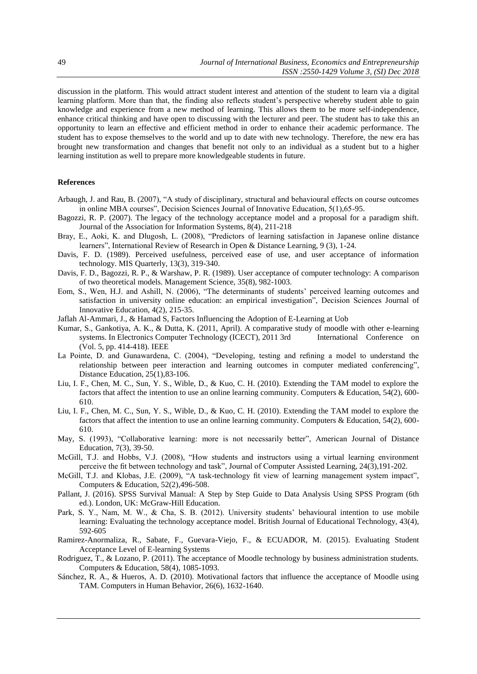discussion in the platform. This would attract student interest and attention of the student to learn via a digital learning platform. More than that, the finding also reflects student's perspective whereby student able to gain knowledge and experience from a new method of learning. This allows them to be more self-independence, enhance critical thinking and have open to discussing with the lecturer and peer. The student has to take this an opportunity to learn an effective and efficient method in order to enhance their academic performance. The student has to expose themselves to the world and up to date with new technology. Therefore, the new era has brought new transformation and changes that benefit not only to an individual as a student but to a higher learning institution as well to prepare more knowledgeable students in future.

# **References**

- Arbaugh, J. and Rau, B. (2007), "A study of disciplinary, structural and behavioural effects on course outcomes in online MBA courses", Decision Sciences Journal of Innovative Education, 5(1),65-95.
- Bagozzi, R. P. (2007). The legacy of the technology acceptance model and a proposal for a paradigm shift. Journal of the Association for Information Systems, 8(4), 211-218
- Bray, E., Aoki, K. and Dlugosh, L. (2008), "Predictors of learning satisfaction in Japanese online distance learners", International Review of Research in Open & Distance Learning, 9 (3), 1-24.
- Davis, F. D. (1989). Perceived usefulness, perceived ease of use, and user acceptance of information technology. MIS Quarterly, 13(3), 319-340.
- Davis, F. D., Bagozzi, R. P., & Warshaw, P. R. (1989). User acceptance of computer technology: A comparison of two theoretical models. Management Science, 35(8), 982-1003.
- Eom, S., Wen, H.J. and Ashill, N. (2006), "The determinants of students' perceived learning outcomes and satisfaction in university online education: an empirical investigation", Decision Sciences Journal of Innovative Education, 4(2), 215-35.
- Jaflah Al-Ammari, J., & Hamad S, Factors Influencing the Adoption of E-Learning at Uob
- Kumar, S., Gankotiya, A. K., & Dutta, K. (2011, April). A comparative study of moodle with other e-learning systems. In Electronics Computer Technology (ICECT), 2011 3rd International Conference on (Vol. 5, pp. 414-418). IEEE
- La Pointe, D. and Gunawardena, C. (2004), "Developing, testing and refining a model to understand the relationship between peer interaction and learning outcomes in computer mediated conferencing", Distance Education, 25(1),83-106.
- Liu, I. F., Chen, M. C., Sun, Y. S., Wible, D., & Kuo, C. H. (2010). Extending the TAM model to explore the factors that affect the intention to use an online learning community. Computers & Education, 54(2), 600- 610.
- Liu, I. F., Chen, M. C., Sun, Y. S., Wible, D., & Kuo, C. H. (2010). Extending the TAM model to explore the factors that affect the intention to use an online learning community. Computers & Education, 54(2), 600- 610.
- May, S. (1993), "Collaborative learning: more is not necessarily better", American Journal of Distance Education, 7(3), 39-50.
- McGill, T.J. and Hobbs, V.J. (2008), "How students and instructors using a virtual learning environment perceive the fit between technology and task", Journal of Computer Assisted Learning, 24(3),191-202.
- McGill, T.J. and Klobas, J.E. (2009), "A task-technology fit view of learning management system impact", Computers & Education, 52(2),496-508.
- Pallant, J. (2016). SPSS Survival Manual: A Step by Step Guide to Data Analysis Using SPSS Program (6th ed.). London, UK: McGraw-Hill Education.
- Park, S. Y., Nam, M. W., & Cha, S. B. (2012). University students' behavioural intention to use mobile learning: Evaluating the technology acceptance model. British Journal of Educational Technology, 43(4), 592-605
- Ramirez-Anormaliza, R., Sabate, F., Guevara-Viejo, F., & ECUADOR, M. (2015). Evaluating Student Acceptance Level of E-learning Systems
- Rodriguez, T., & Lozano, P. (2011). The acceptance of Moodle technology by business administration students. Computers & Education, 58(4), 1085-1093.
- Sánchez, R. A., & Hueros, A. D. (2010). Motivational factors that influence the acceptance of Moodle using TAM. Computers in Human Behavior, 26(6), 1632-1640.